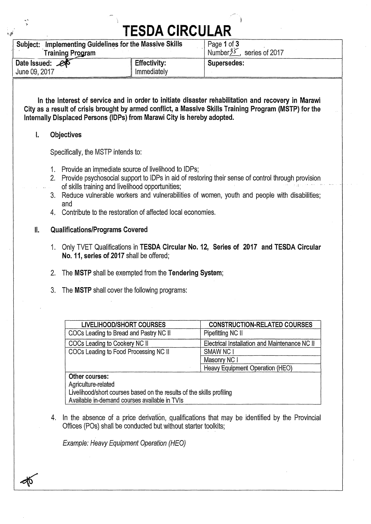### **TESDA CIRCULAR**

| Subject: Implementing Guidelines for the Massive Skills |                     | Page 1 of 3                   |
|---------------------------------------------------------|---------------------|-------------------------------|
| <b>Training Program</b>                                 |                     | Number $35$<br>series of 2017 |
| Date Issued: 25                                         | <b>Effectivity:</b> | Supersedes:                   |
| June 09, 2017                                           | Immediately         |                               |

**In the interest of service and in order to initiate disaster rehabilitation and recovery in Marawi City as a result of crisis brought by armed conflict, a Massive Skills Training Program (MSTP) for the Internally Displaced Persons (IDPs) from Marawi City is hereby adopted.** 

#### 1. **Objectives**

Specifically, the MSTP intends to:

- 1. Provide an immediate source of livelihood to 1DPs;
- 2. Provide psychosocial support to IDPs in aid of restoring their sense of control through provision
- of skills training and livelihood opportunities;
- 3. Reduce vulnerable workers and vulnerabilities of women, youth and people with disabilities; and
- 4. Contribute to the restoration of affected local economies.

#### **II. Qualifications/Programs Covered**

- 1. Only TVET Qualifications in **TESDA Circular No. 12, Series of 2017 and TESDA Circular No. 11, series of 2017** shall be offered;
- 2. The **MSTP** shall be exempted from the **Tendering System;**
- 3. The **MSTP** shall cover the following programs:

| <b>LIVELIHOOD/SHORT COURSES</b>        | <b>CONSTRUCTION-RELATED COURSES</b>           |
|----------------------------------------|-----------------------------------------------|
| COCs Leading to Bread and Pastry NC II | Pipefitting NC II                             |
| COCs Leading to Cookery NC II          | Electrical Installation and Maintenance NC II |
| COCs Leading to Food Processing NC II  | SMAW NC I                                     |
|                                        | Masonry NC I                                  |
|                                        | Heavy Equipment Operation (HEO)               |
| Other courses:                         |                                               |

Agriculture-related

Livelihood/short courses based on the results of the skills profiling Available in-demand courses available in TVIs

4. In the absence of a price derivation, qualifications that may be identified by the Provincial Offices (POs) shall be conducted but without starter toolkits;

*Example: Heavy Equipment Operation (HEO)*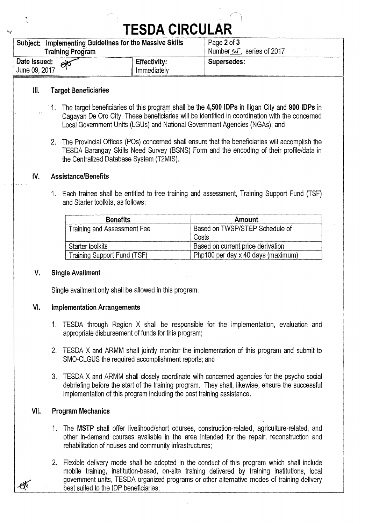## **TESDA CIRCULAR**

| TESUA GIRGULAR                                          |                     |                                     |  |  |
|---------------------------------------------------------|---------------------|-------------------------------------|--|--|
| Subject: Implementing Guidelines for the Massive Skills |                     | Page 2 of 3                         |  |  |
| <b>Training Program</b>                                 |                     | Number $5\sqrt{2}$ , series of 2017 |  |  |
| Date Issued: etc                                        | <b>Effectivity:</b> | Supersedes:                         |  |  |
| June 09, 2017                                           | Immediately         |                                     |  |  |

#### **Ill. Target Beneficiaries**

- 1. The target beneficiaries of this program shall be the **4,500 IDPs** in Iligan City and **900 IDPs** in Cagayan De Oro City. These beneficiaries will be identified in coordination with the concerned Local Government Units (LGUs) and National Government Agencies (NGAs); and
- 2. The Provincial Offices (POs) concerned shall ensure that the beneficiaries will accomplish the TESDA Barangay Skills Need Survey (BSNS) Form and the encoding of their profile/data in the Centralized Database System (T2MIS).

#### **IV. Assistance/Benefits**

1. Each trainee shall be entitled to free training and assessment, Training Support Fund (TSF) and Starter toolkits, as follows:

| <b>Benefits</b>             | Amount                             |
|-----------------------------|------------------------------------|
| Training and Assessment Fee | Based on TWSP/STEP Schedule of     |
|                             | Costs                              |
| Starter toolkits            | Based on current price derivation  |
| Training Support Fund (TSF) | Php100 per day x 40 days (maximum) |

#### **V. Single Availment**

Single availment only shall be allowed in this program.

#### **VI. Implementation Arrangements**

- 1. TESDA through Region X shall be responsible for the implementation, evaluation and appropriate disbursement of funds for this program;
- 2. TESDA X and ARMM shall jointly monitor the implementation of this program and submit to SMO-CLGUS the required accomplishment reports; and
- 3. TESDA X and ARMM shall closely coordinate with concerned agencies for the psycho social debriefing before the start of the training program. They shall, likewise, ensure the successful implementation of this program including the post training assistance.

#### **Vii. Program Mechanics**

- 1. The **MSTP** shall offer livelihood/short courses, construction-related, agriculture-related, and other in-demand courses available in the area intended for the repair, reconstruction and rehabilitation of houses and community infrastructures;
- 2. Flexible delivery mode shall be adopted in the conduct of this program which shall include mobile training, institution-based, on-site training delivered by training institutions, local government units, TESDA organized programs or other alternative modes of training delivery best suited to the IDP beneficiaries;